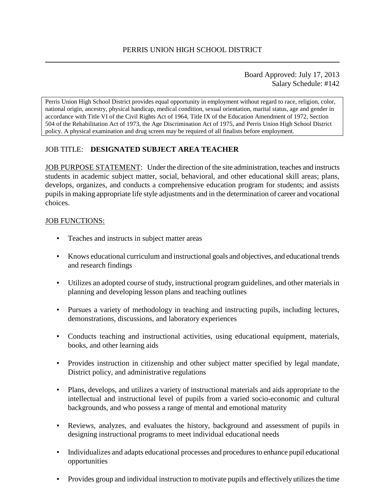Board Approved: July 17, 2013 Salary Schedule: #142

Perris Union High School District provides equal opportunity in employment without regard to race, religion, color, national origin, ancestry, physical handicap, medical condition, sexual orientation, marital status, age and gender in accordance with Title VI of the Civil Rights Act of 1964, Title IX of the Education Amendment of 1972, Section 504 of the Rehabilitation Act of 1973, the Age Discrimination Act of 1975, and Perris Union High School District policy. A physical examination and drug screen may be required of all finalists before employment.

## JOB TITLE: **DESIGNATED SUBJECT AREA TEACHER**

JOB PURPOSE STATEMENT: Under the direction of the site administration, teaches and instructs students in academic subject matter, social, behavioral, and other educational skill areas; plans, develops, organizes, and conducts a comprehensive education program for students; and assists pupils in making appropriate life style adjustments and in the determination of career and vocational choices.

#### JOB FUNCTIONS:

- Teaches and instructs in subject matter areas
- Knows educational curriculum and instructional goals and objectives, and educational trends and research findings
- Utilizes an adopted course of study, instructional program guidelines, and other materials in planning and developing lesson plans and teaching outlines
- Pursues a variety of methodology in teaching and instructing pupils, including lectures, demonstrations, discussions, and laboratory experiences
- Conducts teaching and instructional activities, using educational equipment, materials, books, and other learning aids
- Provides instruction in citizenship and other subject matter specified by legal mandate, District policy, and administrative regulations
- Plans, develops, and utilizes a variety of instructional materials and aids appropriate to the intellectual and instructional level of pupils from a varied socio-economic and cultural backgrounds, and who possess a range of mental and emotional maturity
- Reviews, analyzes, and evaluates the history, background and assessment of pupils in designing instructional programs to meet individual educational needs
- Individualizes and adapts educational processes and procedures to enhance pupil educational opportunities
- Provides group and individual instruction to motivate pupils and effectively utilizes the time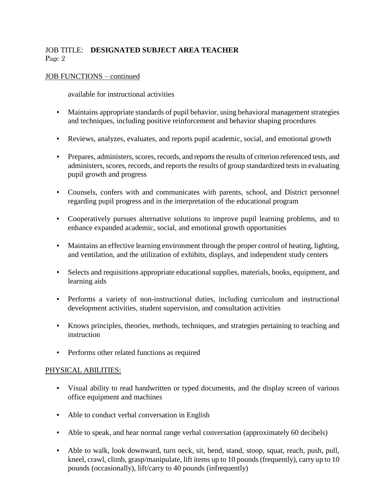# JOB TITLE: **DESIGNATED SUBJECT AREA TEACHER** Page 2

### JOB FUNCTIONS – continued

available for instructional activities

- Maintains appropriate standards of pupil behavior, using behavioral management strategies and techniques, including positive reinforcement and behavior shaping procedures
- Reviews, analyzes, evaluates, and reports pupil academic, social, and emotional growth
- Prepares, administers, scores, records, and reports the results of criterion referenced tests, and administers, scores, records, and reports the results of group standardized tests in evaluating pupil growth and progress
- Counsels, confers with and communicates with parents, school, and District personnel regarding pupil progress and in the interpretation of the educational program
- Cooperatively pursues alternative solutions to improve pupil learning problems, and to enhance expanded academic, social, and emotional growth opportunities
- Maintains an effective learning environment through the proper control of heating, lighting, and ventilation, and the utilization of exhibits, displays, and independent study centers
- Selects and requisitions appropriate educational supplies, materials, books, equipment, and learning aids
- Performs a variety of non-instructional duties, including curriculum and instructional development activities, student supervision, and consultation activities
- Knows principles, theories, methods, techniques, and strategies pertaining to teaching and instruction
- Performs other related functions as required

#### PHYSICAL ABILITIES:

- Visual ability to read handwritten or typed documents, and the display screen of various office equipment and machines
- Able to conduct verbal conversation in English
- Able to speak, and hear normal range verbal conversation (approximately 60 decibels)
- Able to walk, look downward, turn neck, sit, bend, stand, stoop, squat, reach, push, pull, kneel, crawl, climb, grasp/manipulate, lift items up to 10 pounds (frequently), carry up to 10 pounds (occasionally), lift/carry to 40 pounds (infrequently)